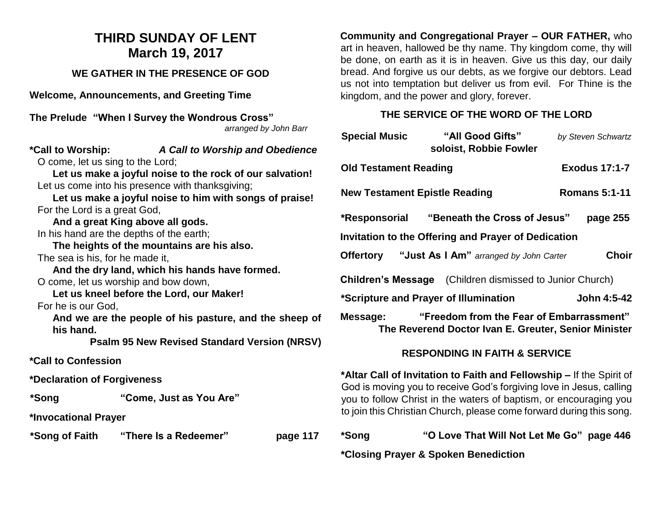## **THIRD SUNDAY OF LENT March 19, 2017**

#### **WE GATHER IN THE PRESENCE OF GOD**

**Welcome, Announcements, and Greeting Time** 

| The Prelude "When I Survey the Wondrous Cross" |  |
|------------------------------------------------|--|
| arranged by John Barr                          |  |

# **\*Call to Worship:** *A Call to Worship and Obedience*

O come, let us sing to the Lord;

**Let us make a joyful noise to the rock of our salvation!** Let us come into his presence with thanksgiving;

**Let us make a joyful noise to him with songs of praise!** For the Lord is a great God,

**And a great King above all gods.** In his hand are the depths of the earth;

**The heights of the mountains are his also.**

The sea is his, for he made it,

**And the dry land, which his hands have formed.** O come, let us worship and bow down,

**Let us kneel before the Lord, our Maker!**

For he is our God,

**And we are the people of his pasture, and the sheep of his hand.**

**Psalm 95 New Revised Standard Version (NRSV)**

**\*Call to Confession**

**\*Declaration of Forgiveness**

**\*Song "Come, Just as You Are"**

**\*Invocational Prayer**

**\*Song of Faith "There Is a Redeemer" page 117** 

**Community and Congregational Prayer – OUR FATHER,** who art in heaven, hallowed be thy name. Thy kingdom come, thy will be done, on earth as it is in heaven. Give us this day, our daily bread. And forgive us our debts, as we forgive our debtors. Lead us not into temptation but deliver us from evil. For Thine is the kingdom, and the power and glory, forever.

#### **THE SERVICE OF THE WORD OF THE LORD**

| <b>Special Music</b>                                | "All Good Gifts"<br>soloist, Robbie Fowler                                                       | by Steven Schwartz |  |  |
|-----------------------------------------------------|--------------------------------------------------------------------------------------------------|--------------------|--|--|
| <b>Old Testament Reading</b>                        | <b>Exodus 17:1-7</b>                                                                             |                    |  |  |
| <b>New Testament Epistle Reading</b>                | <b>Romans 5:1-11</b>                                                                             |                    |  |  |
|                                                     | *Responsorial "Beneath the Cross of Jesus"                                                       | page 255           |  |  |
| Invitation to the Offering and Prayer of Dedication |                                                                                                  |                    |  |  |
|                                                     | <b>Offertory</b> "Just As I Am" arranged by John Carter                                          | <b>Choir</b>       |  |  |
|                                                     | <b>Children's Message</b> (Children dismissed to Junior Church)                                  |                    |  |  |
| *Scripture and Prayer of Illumination               |                                                                                                  | John 4:5-42        |  |  |
| Message:                                            | "Freedom from the Fear of Embarrassment"<br>The Reverend Doctor Ivan E. Greuter, Senior Minister |                    |  |  |

### **RESPONDING IN FAITH & SERVICE**

**\*Altar Call of Invitation to Faith and Fellowship –** If the Spirit of God is moving you to receive God's forgiving love in Jesus, calling you to follow Christ in the waters of baptism, or encouraging you to join this Christian Church, please come forward during this song.

| *Song | "O Love That Will Not Let Me Go" page 446 |
|-------|-------------------------------------------|
|-------|-------------------------------------------|

**\*Closing Prayer & Spoken Benediction**